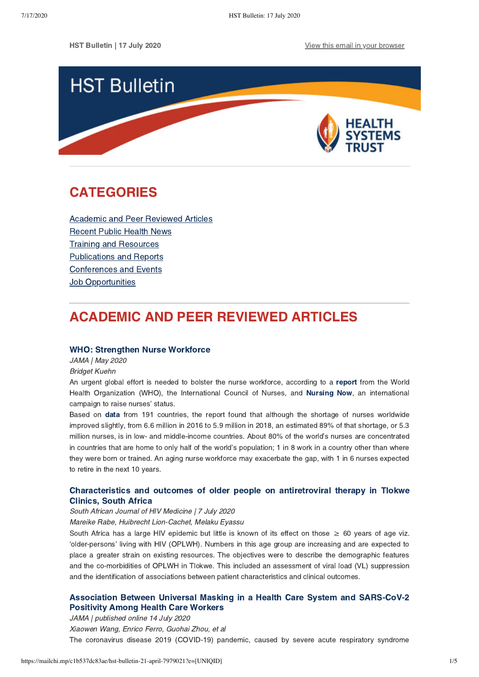HST Bulletin | 17 July 2020 **[View this email in your browser](https://mailchi.mp/c1b537dc83ae/hst-bulletin-21-april-7979021?e=[UNIQID])** 



## <span id="page-0-1"></span>CATEGORIES

[Academic and Peer Reviewed Articles](#page-0-0) [Recent Public Health News](#page-1-0) Training and Resources [Publications and Reports](#page-2-0) [Conferences and Events](#page-3-0) **Job Opportunities** 

# <span id="page-0-0"></span>ACADEMIC AND PEER REVIEWED ARTICLES

### [WHO: Strengthen Nurse Workforce](https://jamanetwork.com/journals/jama/article-abstract/2766179)

JAMA | May 2020

Bridget Kuehn

An urgent global effort is needed to bolster the nurse workforce, according to a [report](https://www.who.int/publications-detail/nursing-report-2020) from the World Health Organization (WHO), the International Council of Nurses, and [Nursing Now](https://www.nursingnow.org/join-the-campaign/), an international campaign to raise nurses' status.

Based on [data](https://apps.who.int/iris/bitstream/handle/10665/331673/9789240003293-eng.pdf) from 191 countries, the report found that although the shortage of nurses worldwide improved slightly, from 6.6 million in 2016 to 5.9 million in 2018, an estimated 89% of that shortage, or 5.3 million nurses, is in low- and middle-income countries. About 80% of the world's nurses are concentrated in countries that are home to only half of the world's population; 1 in 8 work in a country other than where they were born or trained. An aging nurse workforce may exacerbate the gap, with 1 in 6 nurses expected to retire in the next 10 years.

## [Characteristics and outcomes of older people on antiretroviral therapy in Tlokwe](https://sajhivmed.org.za/index.php/hivmed/article/view/1066) Clinics, South Africa

#### South African Journal of HIV Medicine | 7 July 2020

Mareike Rabe, Huibrecht Lion-Cachet, Melaku Eyassu

South Africa has a large HIV epidemic but little is known of its effect on those  $\geq 60$  years of age viz. 'older-persons' living with HIV (OPLWH). Numbers in this age group are increasing and are expected to place a greater strain on existing resources. The objectives were to describe the demographic features and the co-morbidities of OPLWH in Tlokwe. This included an assessment of viral load (VL) suppression and the identification of associations between patient characteristics and clinical outcomes.

## [Association Between Universal Masking in a Health Care System and SARS-CoV-2](https://jamanetwork.com/journals/jama/fullarticle/2768533) Positivity Among Health Care Workers

JAMA | published online 14 July 2020 Xiaowen Wang, Enrico Ferro, Guohai Zhou, et al The coronavirus disease 2019 (COVID-19) pandemic, caused by severe acute respiratory syndrome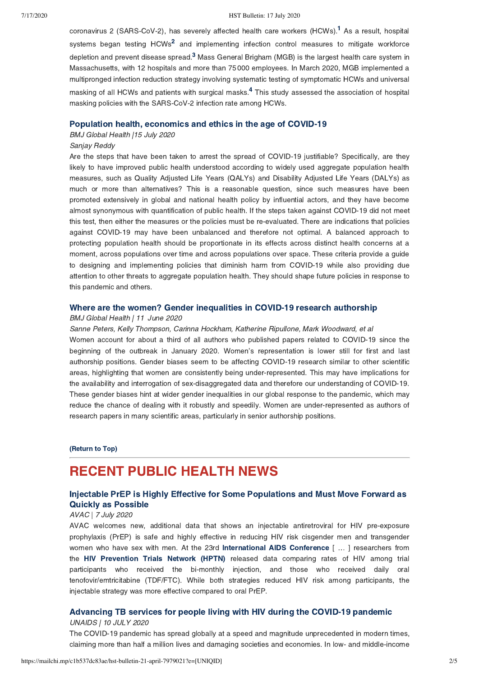#### 7/17/2020 HST Bulletin: 17 July 2020

coronavirus 2 (SARS-CoV-2), has severely affected health care workers (HCWs).<sup>[1](https://jamanetwork.com/journals/jama/fullarticle/2768533#jld200077r1)</sup> As a result, hospital systems began testing HCWs<sup>[2](https://jamanetwork.com/journals/jama/fullarticle/2768533#jld200077r2)</sup> and implementing infection control measures to mitigate workforce depletion and prevent disease spread.<sup>[3](https://jamanetwork.com/journals/jama/fullarticle/2768533#jld200077r3)</sup> Mass General Brigham (MGB) is the largest health care system in Massachusetts, with 12 hospitals and more than 75 000 employees. In March 2020, MGB implemented a multipronged infection reduction strategy involving systematic testing of symptomatic HCWs and universal masking of all HCWs and patients with surgical masks.<sup>[4](https://jamanetwork.com/journals/jama/fullarticle/2768533#jld200077r4)</sup> This study assessed the association of hospital masking policies with the SARS-CoV-2 infection rate among HCWs.

#### [Population health, economics and ethics in the age of COVID-19](https://gh.bmj.com/content/5/7/e003259)

#### BMJ Global Health |15 July 2020

#### Sanjay Reddy

Are the steps that have been taken to arrest the spread of COVID-19 justifiable? Specifically, are they likely to have improved public health understood according to widely used aggregate population health measures, such as Quality Adjusted Life Years (QALYs) and Disability Adjusted Life Years (DALYs) as much or more than alternatives? This is a reasonable question, since such measures have been promoted extensively in global and national health policy by influential actors, and they have become almost synonymous with quantification of public health. If the steps taken against COVID-19 did not meet this test, then either the measures or the policies must be re-evaluated. There are indications that policies against COVID-19 may have been unbalanced and therefore not optimal. A balanced approach to protecting population health should be proportionate in its effects across distinct health concerns at a moment, across populations over time and across populations over space. These criteria provide a guide to designing and implementing policies that diminish harm from COVID-19 while also providing due attention to other threats to aggregate population health. They should shape future policies in response to this pandemic and others.

## [Where are the women? Gender inequalities in COVID-19 research authorship](https://gh.bmj.com/content/5/7/e002922)

#### BMJ Global Health | 11 June 2020

Sanne Peters, Kelly Thompson, Carinna Hockham, Katherine Ripullone, Mark Woodward, et al Women account for about a third of all authors who published papers related to COVID-19 since the beginning of the outbreak in January 2020. Women's representation is lower still for first and last authorship positions. Gender biases seem to be affecting COVID-19 research similar to other scientific areas, highlighting that women are consistently being under-represented. This may have implications for the availability and interrogation of sex-disaggregated data and therefore our understanding of COVID-19. These gender biases hint at wider gender inequalities in our global response to the pandemic, which may reduce the chance of dealing with it robustly and speedily. Women are under-represented as authors of research papers in many scientific areas, particularly in senior authorship positions.

### [\(Return to Top\)](#page-0-1)

## <span id="page-1-0"></span>RECENT PUBLIC HEALTH NEWS

## [Injectable PrEP is Highly Effective for Some Populations and Must Move Forward as](https://www.avac.org/blog/injectable-prep-highly-effective-some-populations-and-must-move-forward-quickly-possible) Quickly as Possible

#### AVAC | 7 July 2020

AVAC welcomes new, additional data that shows an injectable antiretroviral for HIV pre-exposure prophylaxis (PrEP) is safe and highly effective in reducing HIV risk cisgender men and transgender women who have sex with men. At the 23rd [International AIDS Conference](https://www.aids2020.org/) [ ... ] researchers from the [HIV Prevention Trials Network \(HPTN\)](https://www.hptn.org/news-and-events/press-releases/hptn-083-study-demonstrates-superiority-cabotegravir-prevention-hiv) released data comparing rates of HIV among trial participants who received the bi-monthly injection, and those who received daily oral tenofovir/emtricitabine (TDF/FTC). While both strategies reduced HIV risk among participants, the injectable strategy was more effective compared to oral PrEP.

## [Advancing TB services for people living with HIV during the COVID-19 pandemic](https://www.unaids.org/en/resources/presscentre/featurestories/2020/july/20200713_AIDS202_tb_plhiv_covid19) UNAIDS | 10 JULY 2020

The COVID-19 pandemic has spread globally at a speed and magnitude unprecedented in modern times, claiming more than half a million lives and damaging societies and economies. In low- and middle-income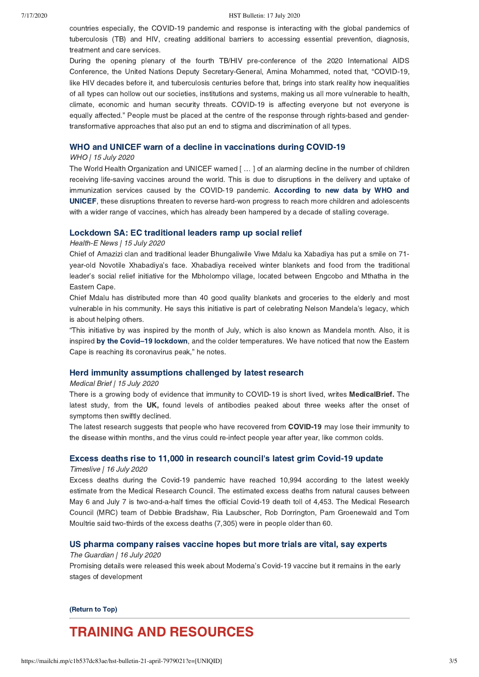countries especially, the COVID-19 pandemic and response is interacting with the global pandemics of tuberculosis (TB) and HIV, creating additional barriers to accessing essential prevention, diagnosis, treatment and care services.

During the opening plenary of the fourth TB/HIV pre-conference of the 2020 International AIDS Conference, the United Nations Deputy Secretary-General, Amina Mohammed, noted that, "COVID-19, like HIV decades before it, and tuberculosis centuries before that, brings into stark reality how inequalities of all types can hollow out our societies, institutions and systems, making us all more vulnerable to health, climate, economic and human security threats. COVID-19 is affecting everyone but not everyone is equally affected." People must be placed at the centre of the response through rights-based and gendertransformative approaches that also put an end to stigma and discrimination of all types.

#### [WHO and UNICEF warn of a decline in vaccinations during COVID-19](https://www.who.int/news-room/detail/15-07-2020-who-and-unicef-warn-of-a-decline-in-vaccinations-during-covid-19)

#### WHO | 15 July 2020

The World Health Organization and UNICEF warned [ … ] of an alarming decline in the number of children receiving life-saving vaccines around the world. This is due to disruptions in the delivery and uptake of immunization services caused by the COVID-19 pandemic. According to new data by WHO and [UNICEF, these disruptions threaten to reverse hard-won progress to reach more children and adolescents](https://data.unicef.org/resources/immunization-coverage-estimates-data-visualization/) with a wider range of vaccines, which has already been hampered by a decade of stalling coverage.

### [Lockdown SA: EC traditional leaders ramp up social relief](https://health-e.org.za/2020/07/15/lockdownsa-ec-traditional-leaders-ramp-up-social-relief/)

#### Health-E News | 15 July 2020

Chief of Amazizi clan and traditional leader Bhungaliwile Viwe Mdalu ka Xabadiya has put a smile on 71 year-old Novotile Xhabadiya's face. Xhabadiya received winter blankets and food from the traditional leader's social relief initiative for the Mbholompo village, located between Engcobo and Mthatha in the Eastern Cape.

Chief Mdalu has distributed more than 40 good quality blankets and groceries to the elderly and most vulnerable in his community. He says this initiative is part of celebrating Nelson Mandela's legacy, which is about helping others.

"This initiative by was inspired by the month of July, which is also known as Mandela month. Also, it is inspired by the Covid-19 lockdown, and the colder temperatures. We have noticed that now the Eastern Cape is reaching its coronavirus peak," he notes.

### [Herd immunity assumptions challenged by latest research](https://www.medicalbrief.co.za/archives/herd-immunity-assumptions-challenged-by-latest-research/)

#### Medical Brief | 15 July 2020

There is a growing body of evidence that immunity to COVID-19 is short lived, writes MedicalBrief. The latest study, from the UK, found levels of antibodies peaked about three weeks after the onset of symptoms then swiftly declined.

The latest research suggests that people who have recovered from COVID-19 may lose their immunity to the disease within months, and the virus could re-infect people year after year, like common colds.

### [Excess deaths rise to 11,000 in research council's latest grim Covid-19 update](https://www.timeslive.co.za/news/south-africa/2020-07-16-excess-deaths-rise-to-11000-in-research-councils-latest-grim-covid-19-update/)

#### Timeslive | 16 July 2020

Excess deaths during the Covid-19 pandemic have reached 10,994 according to the latest weekly estimate from the Medical Research Council. The estimated excess deaths from natural causes between May 6 and July 7 is two-and-a-half times the official Covid-19 death toll of 4,453. The Medical Research Council (MRC) team of Debbie Bradshaw, Ria Laubscher, Rob Dorrington, Pam Groenewald and Tom Moultrie said two-thirds of the excess deaths (7,305) were in people older than 60.

## [US pharma company raises vaccine hopes but more trials are vital, say experts](https://www.theguardian.com/world/2020/jul/16/moderna-coronavirus-vaccine-trials)

#### The Guardian | 16 July 2020

Promising details were released this week about Moderna's Covid-19 vaccine but it remains in the early stages of development

[\(Return to Top\)](#page-0-1)

## <span id="page-2-0"></span>TRAINING AND RESOURCES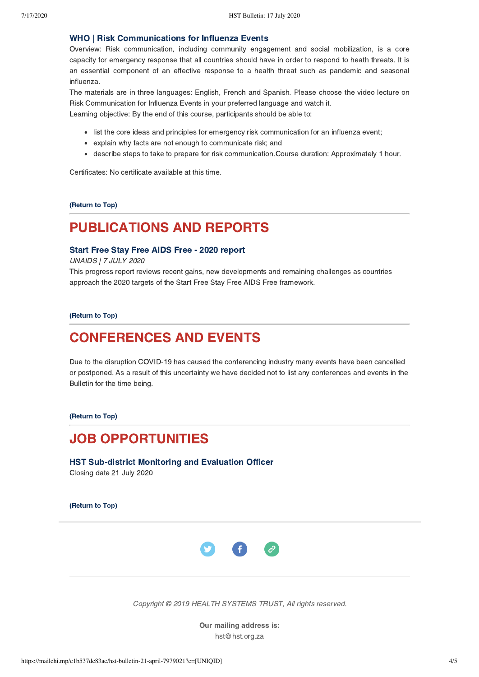## [WHO | Risk Communications for Influenza Events](https://openwho.org/courses/risk-communication-influenza)

Overview: Risk communication, including community engagement and social mobilization, is a core capacity for emergency response that all countries should have in order to respond to heath threats. It is an essential component of an effective response to a health threat such as pandemic and seasonal influenza.

The materials are in three languages: English, French and Spanish. Please choose the video lecture on Risk Communication for Influenza Events in your preferred language and watch it.

Learning objective: By the end of this course, participants should be able to:

- list the core ideas and principles for emergency risk communication for an influenza event;
- explain why facts are not enough to communicate risk; and
- describe steps to take to prepare for risk communication.Course duration: Approximately 1 hour.

Certificates: No certificate available at this time.

[\(Return to Top\)](#page-0-1)

# PUBLICATIONS AND REPORTS

## [Start Free Stay Free AIDS Free - 2020 report](https://www.unaids.org/sites/default/files/media_asset/start-free-stay-free-aids-free-2020-progress-report_en.pdf)

UNAIDS | 7 JULY 2020

This progress report reviews recent gains, new developments and remaining challenges as countries approach the 2020 targets of the Start Free Stay Free AIDS Free framework.

[\(Return to Top\)](#page-0-1)

## <span id="page-3-0"></span>CONFERENCES AND EVENTS

Due to the disruption COVID-19 has caused the conferencing industry many events have been cancelled or postponed. As a result of this uncertainty we have decided not to list any conferences and events in the Bulletin for the time being.

[\(Return to Top\)](#page-0-1)

## JOB OPPORTUNITIES

[HST Sub-district Monitoring and Evaluation Officer](https://www.hst.org.za/Pages/Careers.aspx) Closing date 21 July 2020

[\(Return to Top\)](#page-0-1)



Copyright © 2019 HEALTH SYSTEMS TRUST, All rights reserved.

Our mailing address is: hst@hst.org.za